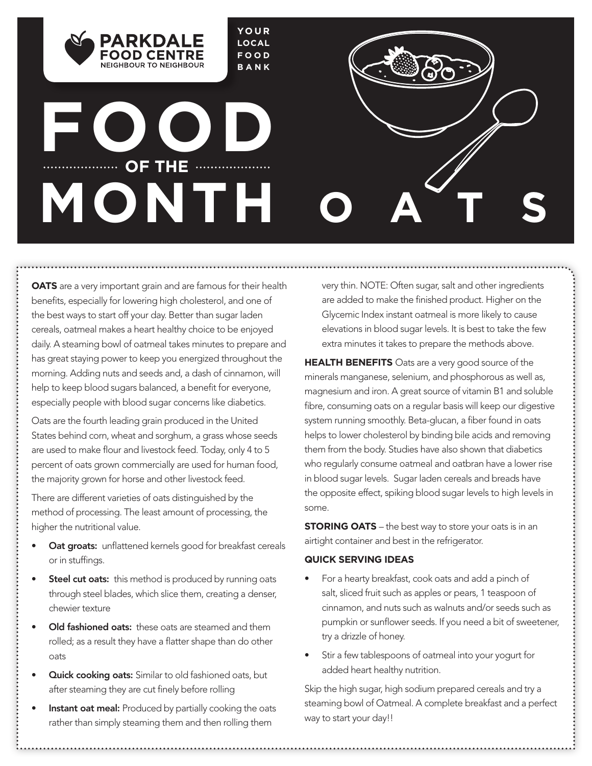

# **FOOD OF THE ..................**... **MONTH**

NEIGHROUR TO NEIGHROUR

**OATS** are a very important grain and are famous for their health benefits, especially for lowering high cholesterol, and one of the best ways to start off your day. Better than sugar laden cereals, oatmeal makes a heart healthy choice to be enjoyed daily. A steaming bowl of oatmeal takes minutes to prepare and has great staying power to keep you energized throughout the morning. Adding nuts and seeds and, a dash of cinnamon, will help to keep blood sugars balanced, a benefit for everyone, especially people with blood sugar concerns like diabetics.

Oats are the fourth leading grain produced in the United States behind corn, wheat and sorghum, a grass whose seeds are used to make flour and livestock feed. Today, only 4 to 5 percent of oats grown commercially are used for human food, the majority grown for horse and other livestock feed.

There are different varieties of oats distinguished by the method of processing. The least amount of processing, the higher the nutritional value.

- Oat groats: unflattened kernels good for breakfast cereals or in stuffings.
- Steel cut oats: this method is produced by running oats through steel blades, which slice them, creating a denser, chewier texture
- Old fashioned oats: these oats are steamed and them rolled; as a result they have a flatter shape than do other oats
- Quick cooking oats: Similar to old fashioned oats, but after steaming they are cut finely before rolling
- Instant oat meal: Produced by partially cooking the oats rather than simply steaming them and then rolling them

very thin. NOTE: Often sugar, salt and other ingredients are added to make the finished product. Higher on the Glycemic Index instant oatmeal is more likely to cause elevations in blood sugar levels. It is best to take the few extra minutes it takes to prepare the methods above.

**OATS**

**HEALTH BENEFITS** Oats are a very good source of the minerals manganese, selenium, and phosphorous as well as, magnesium and iron. A great source of vitamin B1 and soluble fibre, consuming oats on a regular basis will keep our digestive system running smoothly. Beta-glucan, a fiber found in oats helps to lower cholesterol by binding bile acids and removing them from the body. Studies have also shown that diabetics who regularly consume oatmeal and oatbran have a lower rise in blood sugar levels. Sugar laden cereals and breads have the opposite effect, spiking blood sugar levels to high levels in some.

**STORING OATS** – the best way to store your oats is in an airtight container and best in the refrigerator.

#### **QUICK SERVING IDEAS**

- For a hearty breakfast, cook oats and add a pinch of salt, sliced fruit such as apples or pears, 1 teaspoon of cinnamon, and nuts such as walnuts and/or seeds such as pumpkin or sunflower seeds. If you need a bit of sweetener, try a drizzle of honey.
- Stir a few tablespoons of oatmeal into your yogurt for added heart healthy nutrition.

Skip the high sugar, high sodium prepared cereals and try a steaming bowl of Oatmeal. A complete breakfast and a perfect way to start your day!!